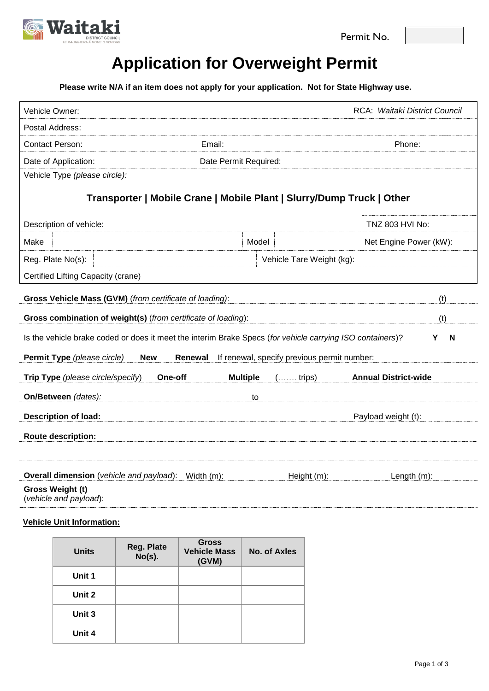



# **Application for Overweight Permit**

**Please write N/A if an item does not apply for your application. Not for State Highway use.**

| Vehicle Owner:                                                                                             |                                                                       | RCA: Waitaki District Council |  |  |  |
|------------------------------------------------------------------------------------------------------------|-----------------------------------------------------------------------|-------------------------------|--|--|--|
| Postal Address:                                                                                            |                                                                       |                               |  |  |  |
| <b>Contact Person:</b>                                                                                     | Email:                                                                | Phone:                        |  |  |  |
| Date of Application:                                                                                       | Date Permit Required:                                                 |                               |  |  |  |
| Vehicle Type (please circle):                                                                              |                                                                       |                               |  |  |  |
|                                                                                                            | Transporter   Mobile Crane   Mobile Plant   Slurry/Dump Truck   Other |                               |  |  |  |
| Description of vehicle:                                                                                    |                                                                       | TNZ 803 HVI No:               |  |  |  |
| Make                                                                                                       | Model                                                                 | Net Engine Power (kW):        |  |  |  |
| Reg. Plate No(s):                                                                                          |                                                                       | Vehicle Tare Weight (kg):     |  |  |  |
| Certified Lifting Capacity (crane)                                                                         |                                                                       |                               |  |  |  |
| Gross Vehicle Mass (GVM) (from certificate of loading):                                                    |                                                                       | (t)                           |  |  |  |
| Gross combination of weight(s) (from certificate of loading):                                              |                                                                       | (t)                           |  |  |  |
| Is the vehicle brake coded or does it meet the interim Brake Specs (for vehicle carrying ISO containers)?  |                                                                       | Υ<br>N                        |  |  |  |
| Permit Type (please circle)<br>If renewal, specify previous permit number:<br><b>Renewal</b><br><b>New</b> |                                                                       |                               |  |  |  |
| Trip Type (please circle/specify)                                                                          | <b>Multiple</b><br><b>One-off</b><br>$(\ldots \ldots \text{trips})$   | <b>Annual District-wide</b>   |  |  |  |
| On/Between (dates):                                                                                        | to                                                                    |                               |  |  |  |
| <b>Description of load:</b>                                                                                |                                                                       | Payload weight (t):           |  |  |  |
| <b>Route description:</b>                                                                                  |                                                                       |                               |  |  |  |
|                                                                                                            |                                                                       |                               |  |  |  |
| Overall dimension (vehicle and payload):                                                                   | Width $(m)$ :                                                         | Length $(m)$ :<br>Height (m): |  |  |  |
| Gross Weight (t)<br>(vehicle and payload):                                                                 |                                                                       |                               |  |  |  |

# **Vehicle Unit Information:**

| <b>Units</b> | Reg. Plate<br>$No(s)$ . | <b>Gross</b><br><b>Vehicle Mass</b><br>(GVM) | No. of Axles |
|--------------|-------------------------|----------------------------------------------|--------------|
| Unit 1       |                         |                                              |              |
| Unit 2       |                         |                                              |              |
| Unit 3       |                         |                                              |              |
| Unit 4       |                         |                                              |              |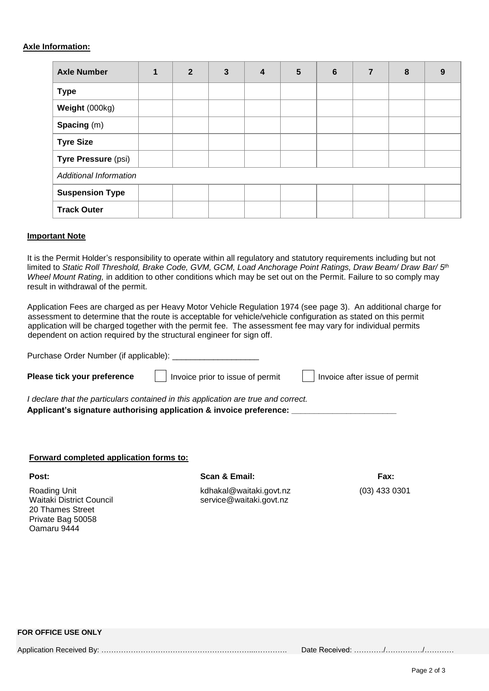### **Axle Information:**

| <b>Axle Number</b>            | $\mathbf{2}$ | 3 | $\boldsymbol{4}$ | 5 | 6 | 7 | 8 | 9 |
|-------------------------------|--------------|---|------------------|---|---|---|---|---|
| <b>Type</b>                   |              |   |                  |   |   |   |   |   |
| Weight (000kg)                |              |   |                  |   |   |   |   |   |
| Spacing (m)                   |              |   |                  |   |   |   |   |   |
| <b>Tyre Size</b>              |              |   |                  |   |   |   |   |   |
| Tyre Pressure (psi)           |              |   |                  |   |   |   |   |   |
| <b>Additional Information</b> |              |   |                  |   |   |   |   |   |
| <b>Suspension Type</b>        |              |   |                  |   |   |   |   |   |
| <b>Track Outer</b>            |              |   |                  |   |   |   |   |   |

#### **Important Note**

It is the Permit Holder's responsibility to operate within all regulatory and statutory requirements including but not limited to *Static Roll Threshold, Brake Code, GVM, GCM, Load Anchorage Point Ratings, Draw Beam/ Draw Bar/ 5th Wheel Mount Rating,* in addition to other conditions which may be set out on the Permit. Failure to so comply may result in withdrawal of the permit.

Application Fees are charged as per Heavy Motor Vehicle Regulation 1974 (see page 3). An additional charge for assessment to determine that the route is acceptable for vehicle/vehicle configuration as stated on this permit application will be charged together with the permit fee. The assessment fee may vary for individual permits dependent on action required by the structural engineer for sign off.

Purchase Order Number (if applicable): \_\_\_\_\_\_\_\_\_ **Please tick your preference** | | Invoice prior to issue of permit | | Invoice after issue of permit *I declare that the particulars contained in this application are true and correct.* 

**Applicant's signature authorising application & invoice preference: \_\_\_\_\_\_\_\_\_\_\_\_\_\_\_\_\_\_\_\_\_\_\_**

# **Forward completed application forms to:**

20 Thames Street Private Bag 50058 Oamaru 9444

#### **Post: Scan & Email: Fax:**

Roading Unit kdhakal@waitaki.govt.nz (03) 433 0301 Waitaki District Council Service@waitaki.govt.nz

# **FOR OFFICE USE ONLY**

Application Received By: ……………………………………………………...…………. Date Received: …………/……………/…………